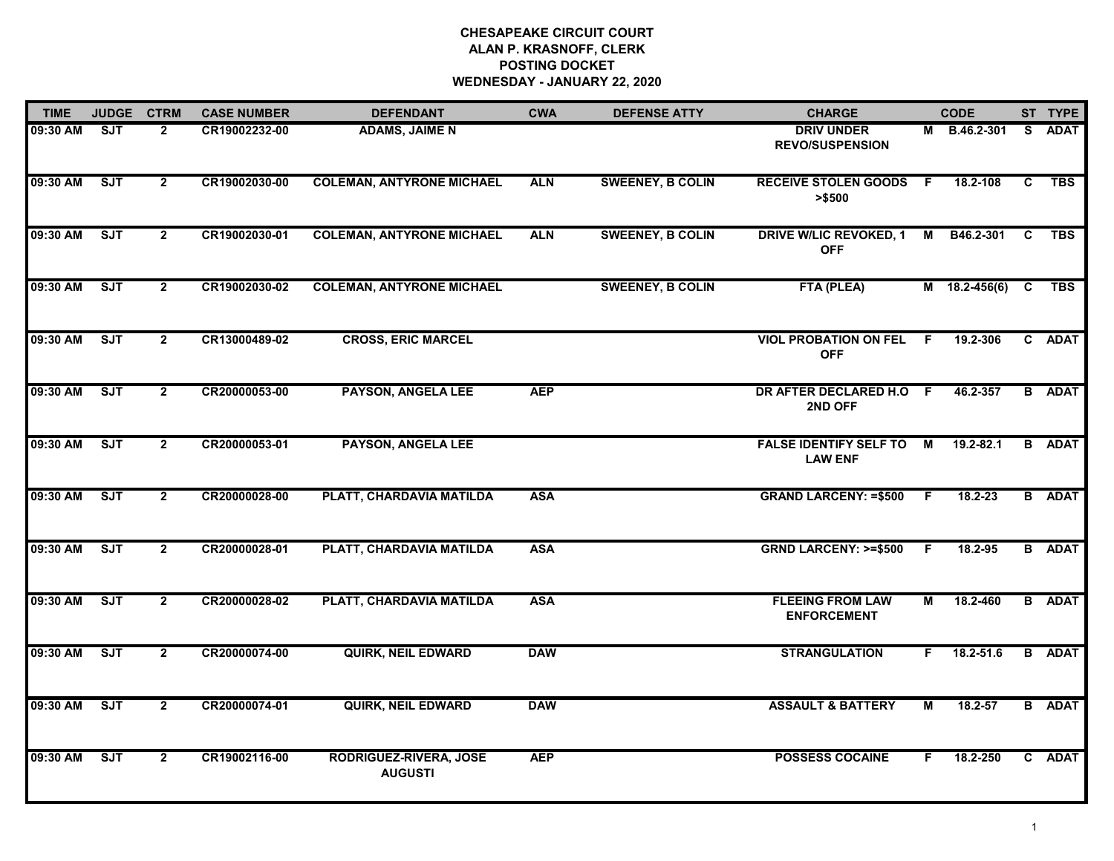## **CHESAPEAKE CIRCUIT COURT ALAN P. KRASNOFF, CLERK POSTING DOCKETWEDNESDAY - JANUARY 22, 2020**

| <b>TIME</b> | <b>JUDGE</b> | <b>CTRM</b>    | <b>CASE NUMBER</b> | <b>DEFENDANT</b>                                | <b>CWA</b> | <b>DEFENSE ATTY</b>     | <b>CHARGE</b>                                   |     | <b>CODE</b>   |              | ST TYPE       |
|-------------|--------------|----------------|--------------------|-------------------------------------------------|------------|-------------------------|-------------------------------------------------|-----|---------------|--------------|---------------|
| 09:30 AM    | <b>SJT</b>   | $\mathbf{2}$   | CR19002232-00      | <b>ADAMS, JAIME N</b>                           |            |                         | <b>DRIV UNDER</b><br><b>REVO/SUSPENSION</b>     | м   | B.46.2-301    | S.           | <b>ADAT</b>   |
| 09:30 AM    | SJT          | $2^{\circ}$    | CR19002030-00      | <b>COLEMAN, ANTYRONE MICHAEL</b>                | <b>ALN</b> | <b>SWEENEY, B COLIN</b> | <b>RECEIVE STOLEN GOODS</b><br>> \$500          | F.  | 18.2-108      | $\mathbf{C}$ | <b>TBS</b>    |
| 09:30 AM    | <b>SJT</b>   | $\mathbf{2}$   | CR19002030-01      | <b>COLEMAN, ANTYRONE MICHAEL</b>                | <b>ALN</b> | <b>SWEENEY, B COLIN</b> | <b>DRIVE W/LIC REVOKED, 1</b><br><b>OFF</b>     | M   | B46.2-301     | <b>C</b>     | <b>TBS</b>    |
| 09:30 AM    | ST           | $\overline{2}$ | CR19002030-02      | <b>COLEMAN, ANTYRONE MICHAEL</b>                |            | <b>SWEENEY, B COLIN</b> | FTA (PLEA)                                      |     | M 18.2-456(6) | C            | <b>TBS</b>    |
| 09:30 AM    | <b>SJT</b>   | $\mathbf{2}$   | CR13000489-02      | <b>CROSS, ERIC MARCEL</b>                       |            |                         | <b>VIOL PROBATION ON FEL F</b><br><b>OFF</b>    |     | 19.2-306      |              | C ADAT        |
| 09:30 AM    | SJT          | $\overline{2}$ | CR20000053-00      | <b>PAYSON, ANGELA LEE</b>                       | <b>AEP</b> |                         | DR AFTER DECLARED H.O F<br>2ND OFF              |     | 46.2-357      |              | <b>B</b> ADAT |
| 09:30 AM    | ST           | $\overline{2}$ | CR20000053-01      | <b>PAYSON, ANGELA LEE</b>                       |            |                         | <b>FALSE IDENTIFY SELF TO</b><br><b>LAW ENF</b> | M   | $19.2 - 82.1$ |              | <b>B</b> ADAT |
| 09:30 AM    | SJT          | $\mathbf{2}$   | CR20000028-00      | PLATT, CHARDAVIA MATILDA                        | <b>ASA</b> |                         | <b>GRAND LARCENY: =\$500</b>                    | - F | $18.2 - 23$   |              | <b>B</b> ADAT |
| 09:30 AM    | <b>SJT</b>   | $\mathbf{2}$   | CR20000028-01      | PLATT, CHARDAVIA MATILDA                        | <b>ASA</b> |                         | <b>GRND LARCENY: &gt;=\$500</b>                 | F.  | 18.2-95       |              | <b>B</b> ADAT |
| 09:30 AM    | ST           | $\mathbf{2}$   | CR20000028-02      | PLATT, CHARDAVIA MATILDA                        | <b>ASA</b> |                         | <b>FLEEING FROM LAW</b><br><b>ENFORCEMENT</b>   | М   | 18.2-460      |              | <b>B</b> ADAT |
| 09:30 AM    | ST           | $\mathbf{2}$   | CR20000074-00      | <b>QUIRK, NEIL EDWARD</b>                       | <b>DAW</b> |                         | <b>STRANGULATION</b>                            | F.  | 18.2-51.6     |              | <b>B</b> ADAT |
| 09:30 AM    | SJT          | $2^{\circ}$    | CR20000074-01      | <b>QUIRK, NEIL EDWARD</b>                       | <b>DAW</b> |                         | <b>ASSAULT &amp; BATTERY</b>                    | M   | $18.2 - 57$   |              | <b>B</b> ADAT |
| 09:30 AM    | <b>SJT</b>   | $\overline{2}$ | CR19002116-00      | <b>RODRIGUEZ-RIVERA, JOSE</b><br><b>AUGUSTI</b> | <b>AEP</b> |                         | <b>POSSESS COCAINE</b>                          | F.  | 18.2-250      |              | C ADAT        |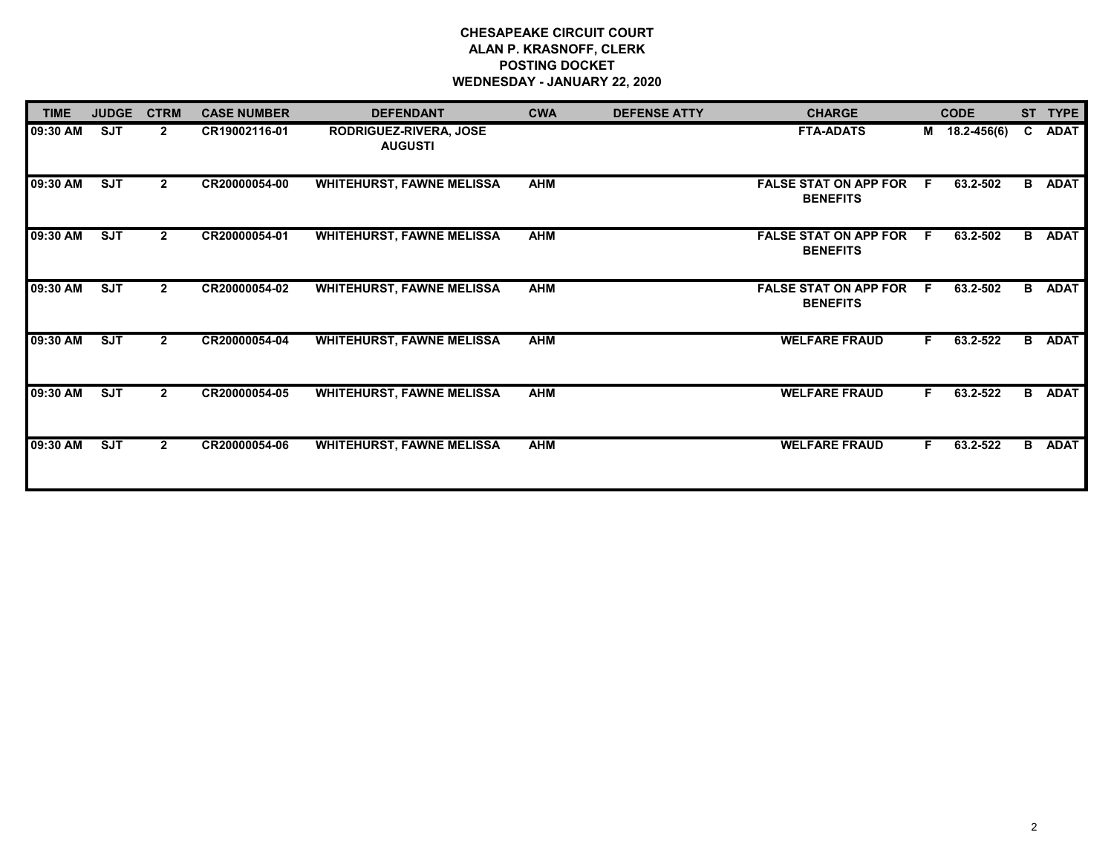## **CHESAPEAKE CIRCUIT COURT ALAN P. KRASNOFF, CLERK POSTING DOCKET WEDNESDAY - JANUARY 22, 2020**

| <b>TIME</b> | <b>JUDGE</b> | <b>CTRM</b>    | <b>CASE NUMBER</b> | <b>DEFENDANT</b>                         | <b>CWA</b> | <b>DEFENSE ATTY</b> | <b>CHARGE</b>                                   |     | <b>CODE</b>     | <b>ST</b> | <b>TYPE</b>   |
|-------------|--------------|----------------|--------------------|------------------------------------------|------------|---------------------|-------------------------------------------------|-----|-----------------|-----------|---------------|
| 09:30 AM    | <b>SJT</b>   | $\overline{2}$ | CR19002116-01      | RODRIGUEZ-RIVERA, JOSE<br><b>AUGUSTI</b> |            |                     | <b>FTA-ADATS</b>                                | M   | $18.2 - 456(6)$ | C         | <b>ADAT</b>   |
| 09:30 AM    | <b>SJT</b>   | $\mathbf{2}$   | CR20000054-00      | <b>WHITEHURST, FAWNE MELISSA</b>         | <b>AHM</b> |                     | <b>FALSE STAT ON APP FOR</b><br><b>BENEFITS</b> | .F  | 63.2-502        |           | <b>B</b> ADAT |
| 09:30 AM    | SJT          | $\overline{2}$ | CR20000054-01      | <b>WHITEHURST, FAWNE MELISSA</b>         | <b>AHM</b> |                     | <b>FALSE STAT ON APP FOR</b><br><b>BENEFITS</b> | - F | 63.2-502        |           | <b>B</b> ADAT |
| 09:30 AM    | SJT          | $\mathbf{2}$   | CR20000054-02      | <b>WHITEHURST, FAWNE MELISSA</b>         | <b>AHM</b> |                     | <b>FALSE STAT ON APP FOR</b><br><b>BENEFITS</b> | - F | 63.2-502        |           | <b>B</b> ADAT |
| 09:30 AM    | SJT          | $\overline{2}$ | CR20000054-04      | <b>WHITEHURST, FAWNE MELISSA</b>         | <b>AHM</b> |                     | <b>WELFARE FRAUD</b>                            | F.  | 63.2-522        |           | <b>B</b> ADAT |
| 09:30 AM    | SJT          | $\overline{2}$ | CR20000054-05      | <b>WHITEHURST, FAWNE MELISSA</b>         | <b>AHM</b> |                     | <b>WELFARE FRAUD</b>                            | F.  | 63.2-522        |           | <b>B</b> ADAT |
| 09:30 AM    | <b>SJT</b>   | $\overline{2}$ | CR20000054-06      | <b>WHITEHURST, FAWNE MELISSA</b>         | <b>AHM</b> |                     | <b>WELFARE FRAUD</b>                            | F.  | 63.2-522        |           | <b>B</b> ADAT |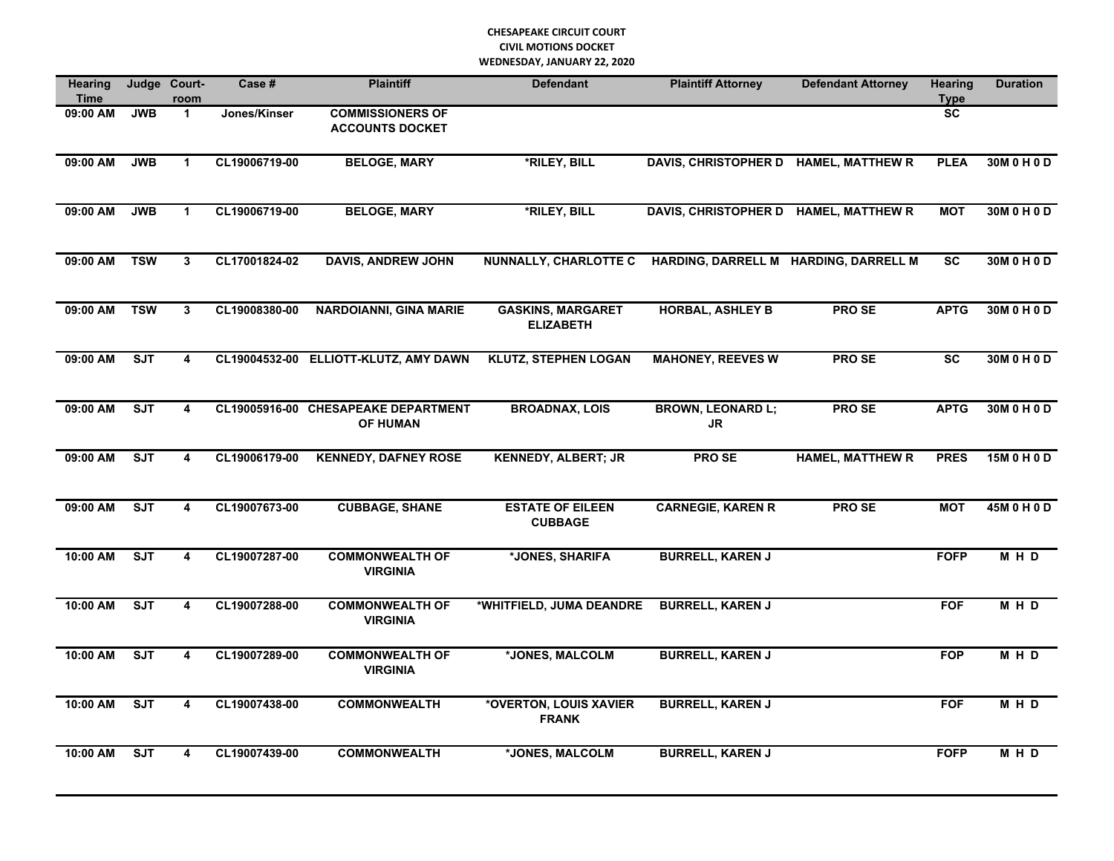## **CHESAPEAKE CIRCUIT COURT CIVIL MOTIONS DOCKET WEDNESDAY, JANUARY 22, 2020**

| Hearing<br><b>Time</b> |                         | Judge Court-<br>room    | Case #        | <b>Plaintiff</b>                                       | <b>Defendant</b>                             | <b>Plaintiff Attorney</b>             | <b>Defendant Attorney</b> | <b>Hearing</b><br><b>Type</b> | <b>Duration</b> |
|------------------------|-------------------------|-------------------------|---------------|--------------------------------------------------------|----------------------------------------------|---------------------------------------|---------------------------|-------------------------------|-----------------|
| 09:00 AM               | <b>JWB</b>              | $\mathbf{1}$            | Jones/Kinser  | <b>COMMISSIONERS OF</b><br><b>ACCOUNTS DOCKET</b>      |                                              |                                       |                           | <b>SC</b>                     |                 |
| 09:00 AM               | <b>JWB</b>              | 1                       | CL19006719-00 | <b>BELOGE, MARY</b>                                    | *RILEY, BILL                                 | DAVIS, CHRISTOPHER D HAMEL, MATTHEW R |                           | <b>PLEA</b>                   | 30M 0 H 0 D     |
| 09:00 AM               | <b>JWB</b>              | $\mathbf{1}$            | CL19006719-00 | <b>BELOGE, MARY</b>                                    | *RILEY, BILL                                 | DAVIS, CHRISTOPHER D HAMEL, MATTHEW R |                           | <b>MOT</b>                    | 30M 0 H 0 D     |
| 09:00 AM               | <b>TSW</b>              | 3                       | CL17001824-02 | <b>DAVIS, ANDREW JOHN</b>                              | <b>NUNNALLY, CHARLOTTE C</b>                 | HARDING, DARRELL M HARDING, DARRELL M |                           | <b>SC</b>                     | 30M 0 H 0 D     |
| 09:00 AM               | <b>TSW</b>              | $\mathbf{3}$            | CL19008380-00 | <b>NARDOIANNI, GINA MARIE</b>                          | <b>GASKINS, MARGARET</b><br><b>ELIZABETH</b> | <b>HORBAL, ASHLEY B</b>               | <b>PROSE</b>              | <b>APTG</b>                   | 30M 0 H 0 D     |
| 09:00 AM               | SJT                     | $\overline{\mathbf{4}}$ |               | CL19004532-00 ELLIOTT-KLUTZ, AMY DAWN                  | <b>KLUTZ, STEPHEN LOGAN</b>                  | <b>MAHONEY, REEVES W</b>              | <b>PROSE</b>              | <b>SC</b>                     | 30M 0 H 0 D     |
| 09:00 AM               | <b>SJT</b>              | 4                       |               | CL19005916-00 CHESAPEAKE DEPARTMENT<br><b>OF HUMAN</b> | <b>BROADNAX, LOIS</b>                        | <b>BROWN, LEONARD L;</b><br><b>JR</b> | <b>PROSE</b>              | <b>APTG</b>                   | 30M 0 H 0 D     |
| 09:00 AM               | <b>SJT</b>              | $\overline{\mathbf{4}}$ | CL19006179-00 | <b>KENNEDY, DAFNEY ROSE</b>                            | <b>KENNEDY, ALBERT; JR</b>                   | PRO SE                                | <b>HAMEL, MATTHEW R</b>   | <b>PRES</b>                   | 15M 0 H 0 D     |
| 09:00 AM               | ST                      | 4                       | CL19007673-00 | <b>CUBBAGE, SHANE</b>                                  | <b>ESTATE OF EILEEN</b><br><b>CUBBAGE</b>    | <b>CARNEGIE, KAREN R</b>              | <b>PROSE</b>              | <b>MOT</b>                    | 45M 0 H 0 D     |
| 10:00 AM               | $\overline{\text{SJT}}$ | 4                       | CL19007287-00 | <b>COMMONWEALTH OF</b><br><b>VIRGINIA</b>              | *JONES, SHARIFA                              | <b>BURRELL, KAREN J</b>               |                           | <b>FOFP</b>                   | M H D           |
| 10:00 AM               | SJT                     | 4                       | CL19007288-00 | <b>COMMONWEALTH OF</b><br><b>VIRGINIA</b>              | *WHITFIELD, JUMA DEANDRE                     | <b>BURRELL, KAREN J</b>               |                           | <b>FOF</b>                    | $M$ H D         |
| 10:00 AM               | <b>SJT</b>              | 4                       | CL19007289-00 | <b>COMMONWEALTH OF</b><br><b>VIRGINIA</b>              | *JONES, MALCOLM                              | <b>BURRELL, KAREN J</b>               |                           | <b>FOP</b>                    | MHD             |
| 10:00 AM               | ST                      | 4                       | CL19007438-00 | <b>COMMONWEALTH</b>                                    | *OVERTON, LOUIS XAVIER<br><b>FRANK</b>       | <b>BURRELL, KAREN J</b>               |                           | <b>FOF</b>                    | M H D           |
| 10:00 AM               | <b>SJT</b>              | 4                       | CL19007439-00 | <b>COMMONWEALTH</b>                                    | *JONES, MALCOLM                              | <b>BURRELL, KAREN J</b>               |                           | <b>FOFP</b>                   | M H D           |